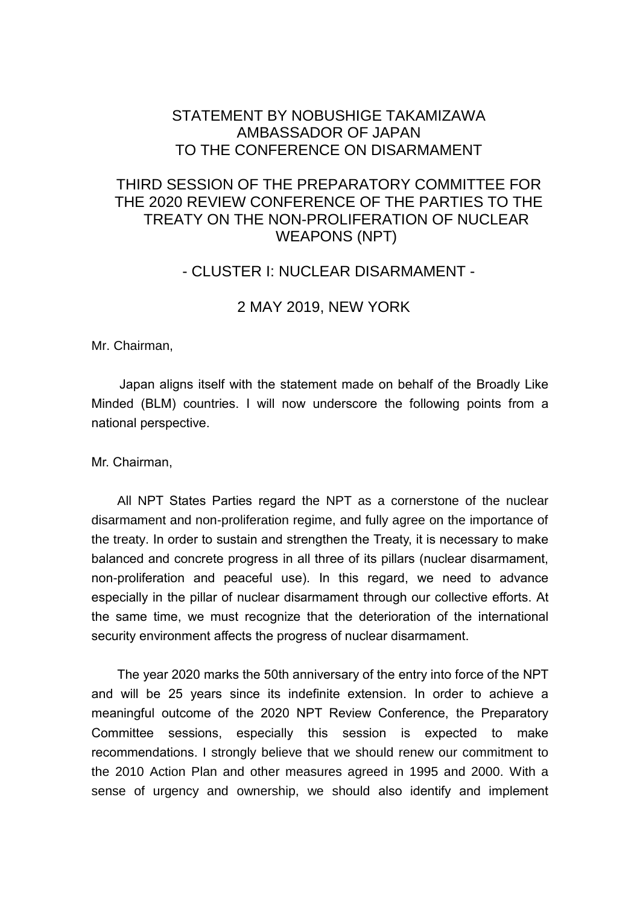## STATEMENT BY NOBUSHIGE TAKAMIZAWA AMBASSADOR OF JAPAN TO THE CONFERENCE ON DISARMAMENT

# THIRD SESSION OF THE PREPARATORY COMMITTEE FOR THE 2020 REVIEW CONFERENCE OF THE PARTIES TO THE TREATY ON THE NON-PROLIFERATION OF NUCLEAR WEAPONS (NPT)

### - CLUSTER I: NUCLEAR DISARMAMENT -

#### 2 MAY 2019, NEW YORK

Mr. Chairman,

Japan aligns itself with the statement made on behalf of the Broadly Like Minded (BLM) countries. I will now underscore the following points from a national perspective.

Mr. Chairman,

All NPT States Parties regard the NPT as a cornerstone of the nuclear disarmament and non-proliferation regime, and fully agree on the importance of the treaty. In order to sustain and strengthen the Treaty, it is necessary to make balanced and concrete progress in all three of its pillars (nuclear disarmament, non-proliferation and peaceful use). In this regard, we need to advance especially in the pillar of nuclear disarmament through our collective efforts. At the same time, we must recognize that the deterioration of the international security environment affects the progress of nuclear disarmament.

The year 2020 marks the 50th anniversary of the entry into force of the NPT and will be 25 years since its indefinite extension. In order to achieve a meaningful outcome of the 2020 NPT Review Conference, the Preparatory Committee sessions, especially this session is expected to make recommendations. I strongly believe that we should renew our commitment to the 2010 Action Plan and other measures agreed in 1995 and 2000. With a sense of urgency and ownership, we should also identify and implement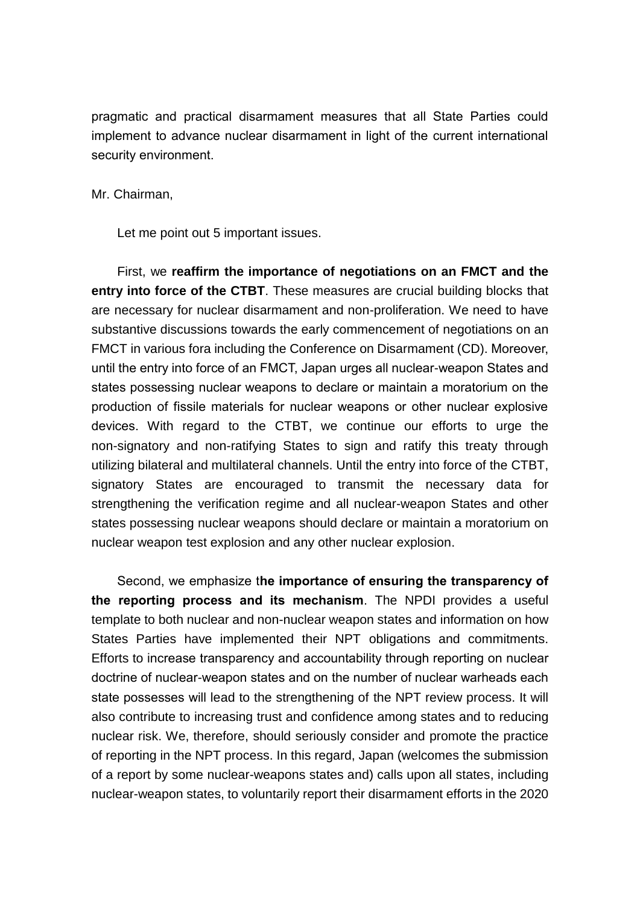pragmatic and practical disarmament measures that all State Parties could implement to advance nuclear disarmament in light of the current international security environment.

Mr. Chairman,

Let me point out 5 important issues.

First, we **reaffirm the importance of negotiations on an FMCT and the entry into force of the CTBT**. These measures are crucial building blocks that are necessary for nuclear disarmament and non-proliferation. We need to have substantive discussions towards the early commencement of negotiations on an FMCT in various fora including the Conference on Disarmament (CD). Moreover, until the entry into force of an FMCT, Japan urges all nuclear-weapon States and states possessing nuclear weapons to declare or maintain a moratorium on the production of fissile materials for nuclear weapons or other nuclear explosive devices. With regard to the CTBT, we continue our efforts to urge the non-signatory and non-ratifying States to sign and ratify this treaty through utilizing bilateral and multilateral channels. Until the entry into force of the CTBT, signatory States are encouraged to transmit the necessary data for strengthening the verification regime and all nuclear-weapon States and other states possessing nuclear weapons should declare or maintain a moratorium on nuclear weapon test explosion and any other nuclear explosion.

Second, we emphasize t**he importance of ensuring the transparency of the reporting process and its mechanism**. The NPDI provides a useful template to both nuclear and non-nuclear weapon states and information on how States Parties have implemented their NPT obligations and commitments. Efforts to increase transparency and accountability through reporting on nuclear doctrine of nuclear-weapon states and on the number of nuclear warheads each state possesses will lead to the strengthening of the NPT review process. It will also contribute to increasing trust and confidence among states and to reducing nuclear risk. We, therefore, should seriously consider and promote the practice of reporting in the NPT process. In this regard, Japan (welcomes the submission of a report by some nuclear-weapons states and) calls upon all states, including nuclear-weapon states, to voluntarily report their disarmament efforts in the 2020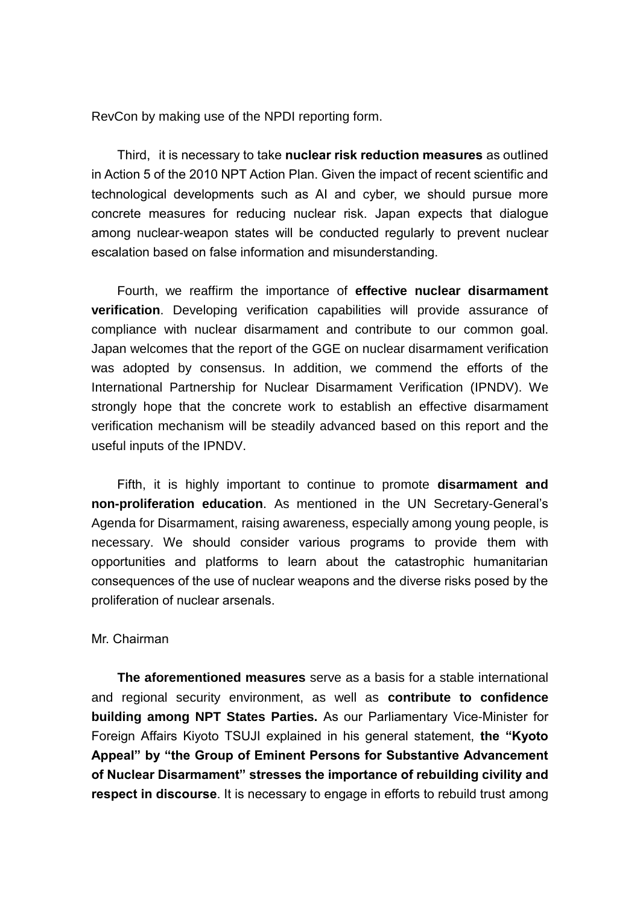RevCon by making use of the NPDI reporting form.

Third, it is necessary to take **nuclear risk reduction measures** as outlined in Action 5 of the 2010 NPT Action Plan. Given the impact of recent scientific and technological developments such as AI and cyber, we should pursue more concrete measures for reducing nuclear risk. Japan expects that dialogue among nuclear-weapon states will be conducted regularly to prevent nuclear escalation based on false information and misunderstanding.

Fourth, we reaffirm the importance of **effective nuclear disarmament verification**. Developing verification capabilities will provide assurance of compliance with nuclear disarmament and contribute to our common goal. Japan welcomes that the report of the GGE on nuclear disarmament verification was adopted by consensus. In addition, we commend the efforts of the International Partnership for Nuclear Disarmament Verification (IPNDV). We strongly hope that the concrete work to establish an effective disarmament verification mechanism will be steadily advanced based on this report and the useful inputs of the IPNDV.

Fifth, it is highly important to continue to promote **disarmament and non-proliferation education**. As mentioned in the UN Secretary-General's Agenda for Disarmament, raising awareness, especially among young people, is necessary. We should consider various programs to provide them with opportunities and platforms to learn about the catastrophic humanitarian consequences of the use of nuclear weapons and the diverse risks posed by the proliferation of nuclear arsenals.

#### Mr. Chairman

**The aforementioned measures** serve as a basis for a stable international and regional security environment, as well as **contribute to confidence building among NPT States Parties.** As our Parliamentary Vice-Minister for Foreign Affairs Kiyoto TSUJI explained in his general statement, **the "Kyoto Appeal" by "the Group of Eminent Persons for Substantive Advancement of Nuclear Disarmament" stresses the importance of rebuilding civility and respect in discourse**. It is necessary to engage in efforts to rebuild trust among